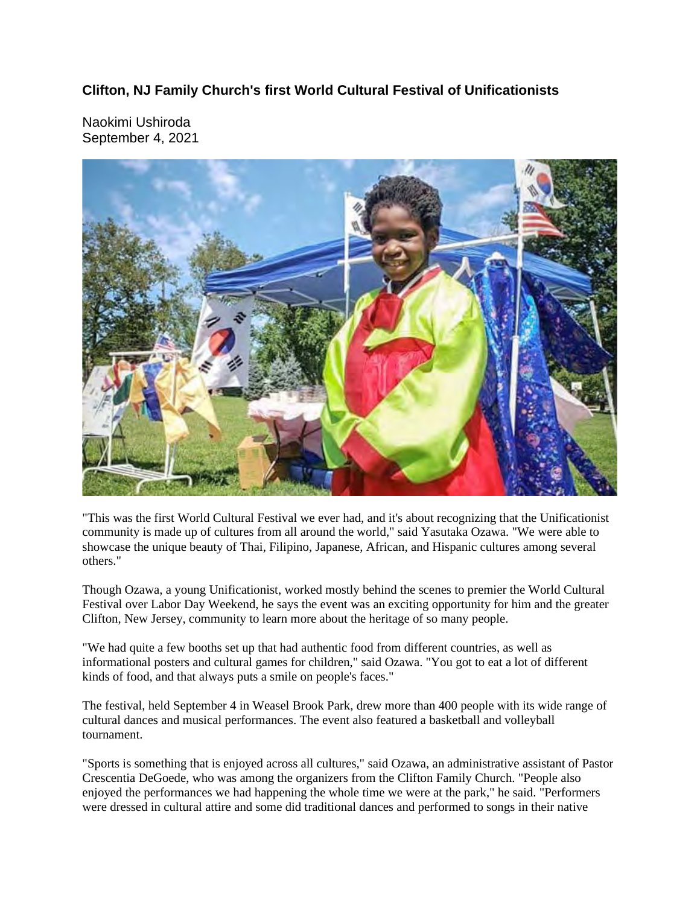## **Clifton, NJ Family Church's first World Cultural Festival of Unificationists**

Naokimi Ushiroda September 4, 2021



"This was the first World Cultural Festival we ever had, and it's about recognizing that the Unificationist community is made up of cultures from all around the world," said Yasutaka Ozawa. "We were able to showcase the unique beauty of Thai, Filipino, Japanese, African, and Hispanic cultures among several others."

Though Ozawa, a young Unificationist, worked mostly behind the scenes to premier the World Cultural Festival over Labor Day Weekend, he says the event was an exciting opportunity for him and the greater Clifton, New Jersey, community to learn more about the heritage of so many people.

"We had quite a few booths set up that had authentic food from different countries, as well as informational posters and cultural games for children," said Ozawa. "You got to eat a lot of different kinds of food, and that always puts a smile on people's faces."

The festival, held September 4 in Weasel Brook Park, drew more than 400 people with its wide range of cultural dances and musical performances. The event also featured a basketball and volleyball tournament.

"Sports is something that is enjoyed across all cultures," said Ozawa, an administrative assistant of Pastor Crescentia DeGoede, who was among the organizers from the Clifton Family Church. "People also enjoyed the performances we had happening the whole time we were at the park," he said. "Performers were dressed in cultural attire and some did traditional dances and performed to songs in their native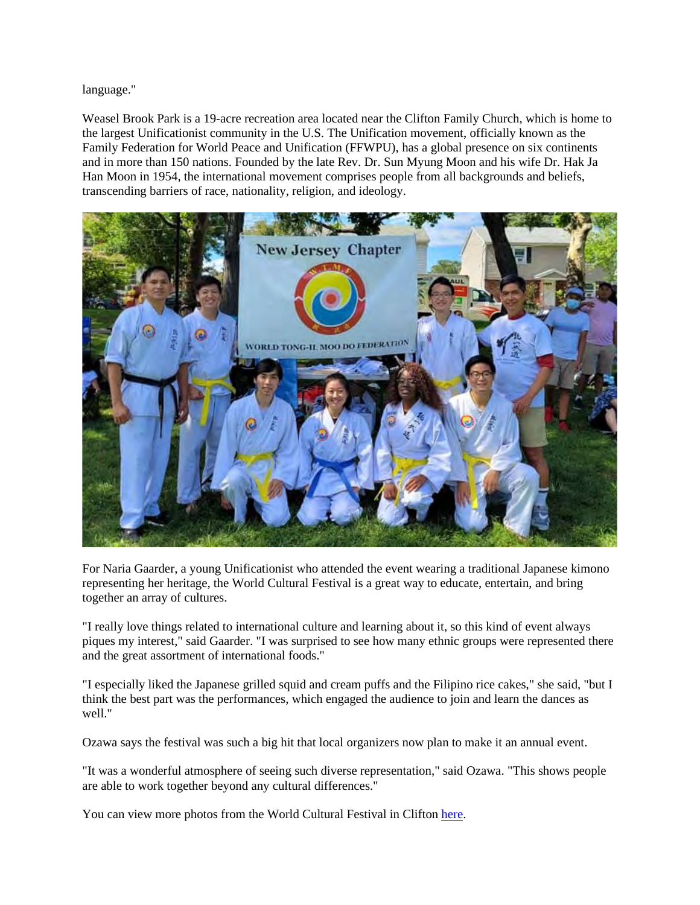language."

Weasel Brook Park is a 19-acre recreation area located near the Clifton Family Church, which is home to the largest Unificationist community in the U.S. The Unification movement, officially known as the Family Federation for World Peace and Unification (FFWPU), has a global presence on six continents and in more than 150 nations. Founded by the late Rev. Dr. Sun Myung Moon and his wife Dr. Hak Ja Han Moon in 1954, the international movement comprises people from all backgrounds and beliefs, transcending barriers of race, nationality, religion, and ideology.



For Naria Gaarder, a young Unificationist who attended the event wearing a traditional Japanese kimono representing her heritage, the World Cultural Festival is a great way to educate, entertain, and bring together an array of cultures.

"I really love things related to international culture and learning about it, so this kind of event always piques my interest," said Gaarder. "I was surprised to see how many ethnic groups were represented there and the great assortment of international foods."

"I especially liked the Japanese grilled squid and cream puffs and the Filipino rice cakes," she said, "but I think the best part was the performances, which engaged the audience to join and learn the dances as well."

Ozawa says the festival was such a big hit that local organizers now plan to make it an annual event.

"It was a wonderful atmosphere of seeing such diverse representation," said Ozawa. "This shows people are able to work together beyond any cultural differences."

You can view more photos from the World Cultural Festival in Clifton here.